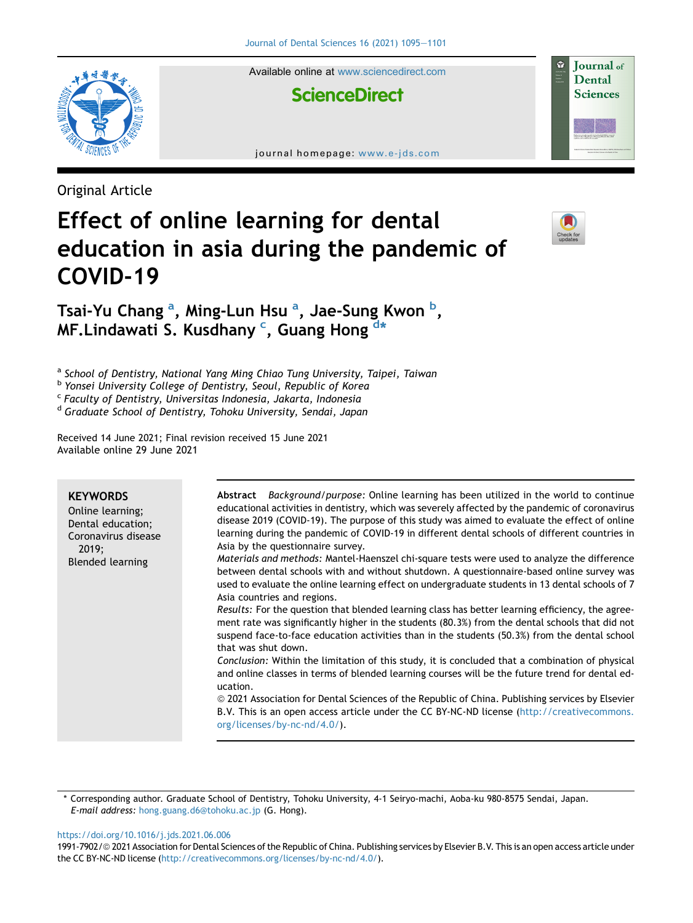

Available online at [www.sciencedirect.com](www.sciencedirect.com/science/journal/19917902)

# **ScienceDirect**

journal homepage: [www.e-jds.com](http://www.e-jds.com)

Original Article

# Effect of online learning for dental education in asia during the pandemic of COVID-19



**Journal** of Dental **Sciences** 

Ts[a](#page-0-0)i-Yu Chang <sup>a</sup>, Ming-Lun Hsu <sup>a</sup>, Jae-Sung Kwon <sup>[b](#page-0-1)</sup>, MF.Lindawati S. Kusdhany <sup>[c](#page-0-2)</sup>, Guang Hong <sup>[d](#page-0-3)[\\*](#page-0-4)</sup>

<span id="page-0-0"></span><sup>a</sup> School of Dentistry, National Yang Ming Chiao Tung University, Taipei, Taiwan

<span id="page-0-1"></span><sup>b</sup> Yonsei University College of Dentistry, Seoul, Republic of Korea

<span id="page-0-2"></span><sup>c</sup> Faculty of Dentistry, Universitas Indonesia, Jakarta, Indonesia

<span id="page-0-3"></span><sup>d</sup> Graduate School of Dentistry, Tohoku University, Sendai, Japan

Received 14 June 2021; Final revision received 15 June 2021 Available online 29 June 2021

| <b>KEYWORDS</b><br>Online learning;<br>Dental education;<br>Coronavirus disease<br>2019:<br><b>Blended learning</b> | Abstract Background/purpose: Online learning has been utilized in the world to continue<br>educational activities in dentistry, which was severely affected by the pandemic of coronavirus<br>disease 2019 (COVID-19). The purpose of this study was aimed to evaluate the effect of online<br>learning during the pandemic of COVID-19 in different dental schools of different countries in<br>Asia by the questionnaire survey.<br><i>Materials and methods: Mantel-Haenszel chi-square tests were used to analyze the difference</i><br>between dental schools with and without shutdown. A questionnaire-based online survey was<br>used to evaluate the online learning effect on undergraduate students in 13 dental schools of 7<br>Asia countries and regions.<br>Results: For the question that blended learning class has better learning efficiency, the agree-<br>ment rate was significantly higher in the students (80.3%) from the dental schools that did not<br>suspend face-to-face education activities than in the students (50.3%) from the dental school<br>that was shut down.<br>Conclusion: Within the limitation of this study, it is concluded that a combination of physical<br>and online classes in terms of blended learning courses will be the future trend for dental ed-<br>ucation.<br>© 2021 Association for Dental Sciences of the Republic of China. Publishing services by Elsevier<br>B.V. This is an open access article under the CC BY-NC-ND license (http://creativecommons.<br>org/licenses/by-nc-nd/4.0/). |
|---------------------------------------------------------------------------------------------------------------------|------------------------------------------------------------------------------------------------------------------------------------------------------------------------------------------------------------------------------------------------------------------------------------------------------------------------------------------------------------------------------------------------------------------------------------------------------------------------------------------------------------------------------------------------------------------------------------------------------------------------------------------------------------------------------------------------------------------------------------------------------------------------------------------------------------------------------------------------------------------------------------------------------------------------------------------------------------------------------------------------------------------------------------------------------------------------------------------------------------------------------------------------------------------------------------------------------------------------------------------------------------------------------------------------------------------------------------------------------------------------------------------------------------------------------------------------------------------------------------------------------------------------------------------------------------|
|                                                                                                                     |                                                                                                                                                                                                                                                                                                                                                                                                                                                                                                                                                                                                                                                                                                                                                                                                                                                                                                                                                                                                                                                                                                                                                                                                                                                                                                                                                                                                                                                                                                                                                            |

<span id="page-0-4"></span>\* Corresponding author. Graduate School of Dentistry, Tohoku University, 4-1 Seiryo-machi, Aoba-ku 980-8575 Sendai, Japan. E-mail address: [hong.guang.d6@tohoku.ac.jp](mailto:hong.guang.d6@tohoku.ac.jp) (G. Hong).

<https://doi.org/10.1016/j.jds.2021.06.006>

<sup>1991-7902/© 2021</sup> Association for Dental Sciences of the Republic of China. Publishing services by Elsevier B.V. This is an open access article under the CC BY-NC-ND license ([http://creativecommons.org/licenses/by-nc-nd/4.0/\)](http://creativecommons.org/licenses/by-nc-nd/4.0/).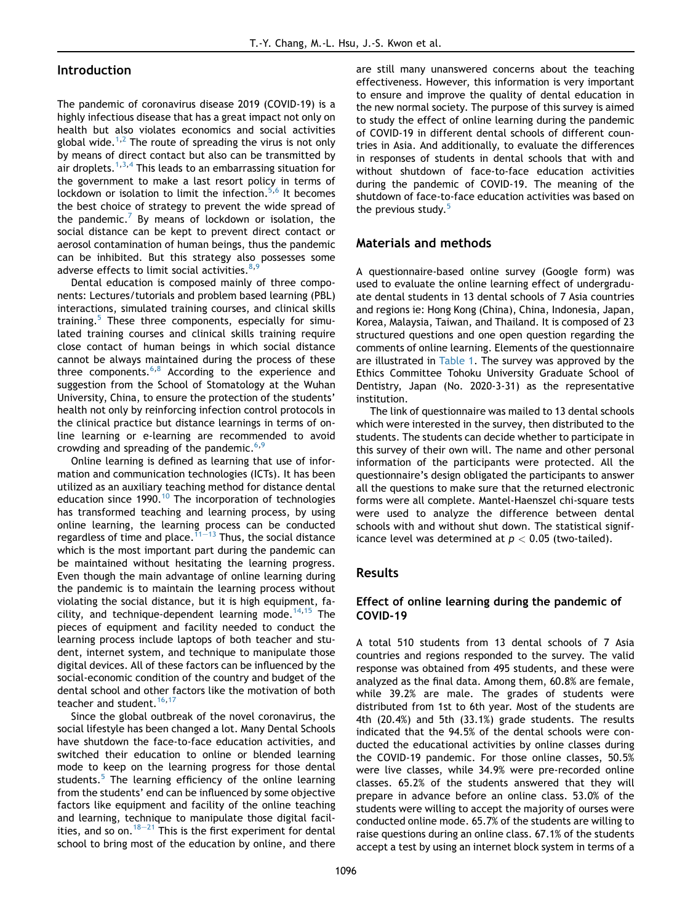#### Introduction

The pandemic of coronavirus disease 2019 (COVID-19) is a highly infectious disease that has a great impact not only on health but also violates economics and social activities global wide.<sup>[1,](#page-5-0)[2](#page-5-1)</sup> The route of spreading the virus is not only by means of direct contact but also can be transmitted by air droplets.<sup>[1,](#page-5-0)[3,](#page-5-2)[4](#page-5-3)</sup> This leads to an embarrassing situation for the government to make a last resort policy in terms of lockdown or isolation to limit the infection.<sup>[5](#page-5-4),[6](#page-5-5)</sup> It becomes the best choice of strategy to prevent the wide spread of the pandemic.<sup>7</sup> By means of lockdown or isolation, the social distance can be kept to prevent direct contact or aerosol contamination of human beings, thus the pandemic can be inhibited. But this strategy also possesses some adverse effects to limit social activities.<sup>[8](#page-5-7),[9](#page-5-8)</sup>

Dental education is composed mainly of three components: Lectures/tutorials and problem based learning (PBL) interactions, simulated training courses, and clinical skills training. $5$  These three components, especially for simulated training courses and clinical skills training require close contact of human beings in which social distance cannot be always maintained during the process of these three components. $6,8$  $6,8$  $6,8$  According to the experience and suggestion from the School of Stomatology at the Wuhan University, China, to ensure the protection of the students' health not only by reinforcing infection control protocols in the clinical practice but distance learnings in terms of online learning or e-learning are recommended to avoid crowding and spreading of the pandemic.<sup>6[,9](#page-5-8)</sup>

Online learning is defined as learning that use of information and communication technologies (ICTs). It has been utilized as an auxiliary teaching method for distance dental education since 1990.<sup>[10](#page-5-9)</sup> The incorporation of technologies has transformed teaching and learning process, by using online learning, the learning process can be conducted regardless of time and place.  $\frac{1}{11}-13$  $\frac{1}{11}-13$  $\frac{1}{11}-13$  $\frac{1}{11}-13$  Thus, the social distance which is the most important part during the pandemic can be maintained without hesitating the learning progress. Even though the main advantage of online learning during the pandemic is to maintain the learning process without violating the social distance, but it is high equipment, fa-cility, and technique-dependent learning mode.<sup>[14](#page-5-11)[,15](#page-5-12)</sup> The pieces of equipment and facility needed to conduct the learning process include laptops of both teacher and student, internet system, and technique to manipulate those digital devices. All of these factors can be influenced by the social-economic condition of the country and budget of the dental school and other factors like the motivation of both teacher and student.<sup>16,[17](#page-5-14)</sup>

Since the global outbreak of the novel coronavirus, the social lifestyle has been changed a lot. Many Dental Schools have shutdown the face-to-face education activities, and switched their education to online or blended learning mode to keep on the learning progress for those dental students.<sup>[5](#page-5-4)</sup> The learning efficiency of the online learning from the students' end can be influenced by some objective factors like equipment and facility of the online teaching and learning, technique to manipulate those digital facilities, and so on.  $18-21$  $18-21$  $18-21$  This is the first experiment for dental school to bring most of the education by online, and there

are still many unanswered concerns about the teaching effectiveness. However, this information is very important to ensure and improve the quality of dental education in the new normal society. The purpose of this survey is aimed to study the effect of online learning during the pandemic of COVID-19 in different dental schools of different countries in Asia. And additionally, to evaluate the differences in responses of students in dental schools that with and without shutdown of face-to-face education activities during the pandemic of COVID-19. The meaning of the shutdown of face-to-face education activities was based on the previous study.<sup>[5](#page-5-4)</sup>

# Materials and methods

A questionnaire-based online survey (Google form) was used to evaluate the online learning effect of undergraduate dental students in 13 dental schools of 7 Asia countries and regions ie: Hong Kong (China), China, Indonesia, Japan, Korea, Malaysia, Taiwan, and Thailand. It is composed of 23 structured questions and one open question regarding the comments of online learning. Elements of the questionnaire are illustrated in [Table 1](#page-2-0). The survey was approved by the Ethics Committee Tohoku University Graduate School of Dentistry, Japan (No. 2020-3-31) as the representative institution.

The link of questionnaire was mailed to 13 dental schools which were interested in the survey, then distributed to the students. The students can decide whether to participate in this survey of their own will. The name and other personal information of the participants were protected. All the questionnaire's design obligated the participants to answer all the questions to make sure that the returned electronic forms were all complete. Mantel-Haenszel chi-square tests were used to analyze the difference between dental schools with and without shut down. The statistical significance level was determined at  $p < 0.05$  (two-tailed).

#### Results

#### Effect of online learning during the pandemic of COVID-19

A total 510 students from 13 dental schools of 7 Asia countries and regions responded to the survey. The valid response was obtained from 495 students, and these were analyzed as the final data. Among them, 60.8% are female, while 39.2% are male. The grades of students were distributed from 1st to 6th year. Most of the students are 4th (20.4%) and 5th (33.1%) grade students. The results indicated that the 94.5% of the dental schools were conducted the educational activities by online classes during the COVID-19 pandemic. For those online classes, 50.5% were live classes, while 34.9% were pre-recorded online classes. 65.2% of the students answered that they will prepare in advance before an online class. 53.0% of the students were willing to accept the majority of ourses were conducted online mode. 65.7% of the students are willing to raise questions during an online class. 67.1% of the students accept a test by using an internet block system in terms of a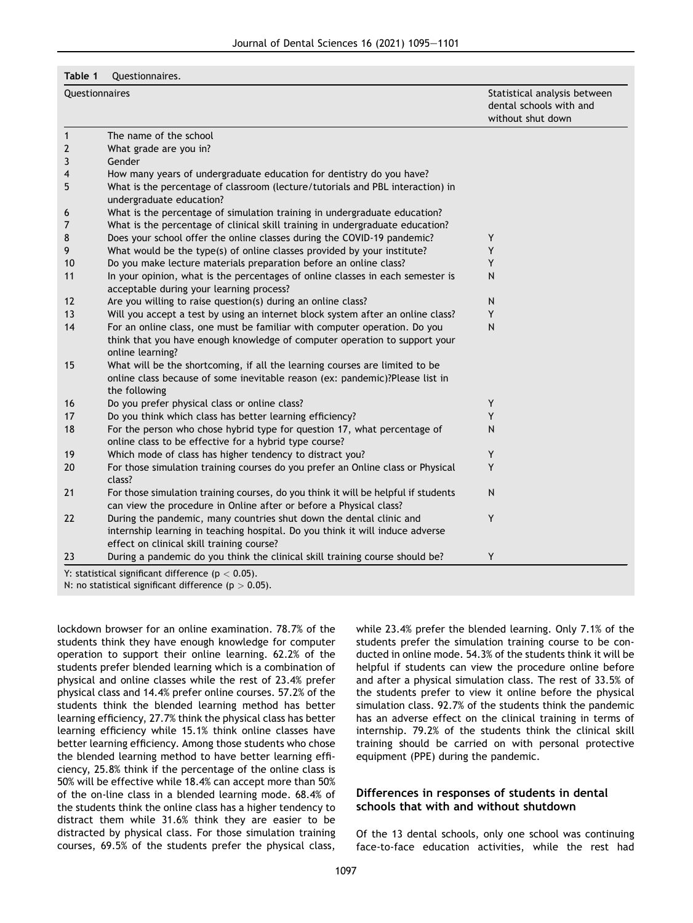<span id="page-2-0"></span>Table 1 Questionnaires.

| Questionnaires |                                                                                                                                                                                                   | Statistical analysis between<br>dental schools with and<br>without shut down |  |
|----------------|---------------------------------------------------------------------------------------------------------------------------------------------------------------------------------------------------|------------------------------------------------------------------------------|--|
| $\mathbf{1}$   | The name of the school                                                                                                                                                                            |                                                                              |  |
| $\mathbf{2}$   | What grade are you in?                                                                                                                                                                            |                                                                              |  |
| 3              | Gender                                                                                                                                                                                            |                                                                              |  |
| 4              | How many years of undergraduate education for dentistry do you have?                                                                                                                              |                                                                              |  |
| 5              | What is the percentage of classroom (lecture/tutorials and PBL interaction) in<br>undergraduate education?                                                                                        |                                                                              |  |
| 6              | What is the percentage of simulation training in undergraduate education?                                                                                                                         |                                                                              |  |
| 7              | What is the percentage of clinical skill training in undergraduate education?                                                                                                                     |                                                                              |  |
| 8              | Does your school offer the online classes during the COVID-19 pandemic?                                                                                                                           | Υ                                                                            |  |
| 9              | What would be the type(s) of online classes provided by your institute?                                                                                                                           | Y                                                                            |  |
| 10             | Do you make lecture materials preparation before an online class?                                                                                                                                 | Y                                                                            |  |
| 11             | In your opinion, what is the percentages of online classes in each semester is<br>acceptable during your learning process?                                                                        | $\mathsf{N}$                                                                 |  |
| 12             | Are you willing to raise question(s) during an online class?                                                                                                                                      | N                                                                            |  |
| 13             | Will you accept a test by using an internet block system after an online class?                                                                                                                   | Y                                                                            |  |
| 14             | For an online class, one must be familiar with computer operation. Do you<br>think that you have enough knowledge of computer operation to support your<br>online learning?                       | $\mathsf{N}$                                                                 |  |
| 15             | What will be the shortcoming, if all the learning courses are limited to be<br>online class because of some inevitable reason (ex: pandemic)?Please list in<br>the following                      |                                                                              |  |
| 16             | Do you prefer physical class or online class?                                                                                                                                                     | Υ                                                                            |  |
| 17             | Do you think which class has better learning efficiency?                                                                                                                                          | Y                                                                            |  |
| 18             | For the person who chose hybrid type for question 17, what percentage of<br>online class to be effective for a hybrid type course?                                                                | $\mathsf{N}$                                                                 |  |
| 19             | Which mode of class has higher tendency to distract you?                                                                                                                                          | Υ                                                                            |  |
| 20             | For those simulation training courses do you prefer an Online class or Physical<br>class?                                                                                                         | Y                                                                            |  |
| 21             | For those simulation training courses, do you think it will be helpful if students<br>can view the procedure in Online after or before a Physical class?                                          | N                                                                            |  |
| 22             | During the pandemic, many countries shut down the dental clinic and<br>internship learning in teaching hospital. Do you think it will induce adverse<br>effect on clinical skill training course? | Y                                                                            |  |
| 23             | During a pandemic do you think the clinical skill training course should be?                                                                                                                      | Υ                                                                            |  |

lockdown browser for an online examination. 78.7% of the students think they have enough knowledge for computer operation to support their online learning. 62.2% of the students prefer blended learning which is a combination of physical and online classes while the rest of 23.4% prefer physical class and 14.4% prefer online courses. 57.2% of the students think the blended learning method has better learning efficiency, 27.7% think the physical class has better learning efficiency while 15.1% think online classes have better learning efficiency. Among those students who chose the blended learning method to have better learning efficiency, 25.8% think if the percentage of the online class is 50% will be effective while 18.4% can accept more than 50% of the on-line class in a blended learning mode. 68.4% of the students think the online class has a higher tendency to distract them while 31.6% think they are easier to be distracted by physical class. For those simulation training courses, 69.5% of the students prefer the physical class,

while 23.4% prefer the blended learning. Only 7.1% of the students prefer the simulation training course to be conducted in online mode. 54.3% of the students think it will be helpful if students can view the procedure online before and after a physical simulation class. The rest of 33.5% of the students prefer to view it online before the physical simulation class. 92.7% of the students think the pandemic has an adverse effect on the clinical training in terms of internship. 79.2% of the students think the clinical skill training should be carried on with personal protective equipment (PPE) during the pandemic.

# Differences in responses of students in dental schools that with and without shutdown

Of the 13 dental schools, only one school was continuing face-to-face education activities, while the rest had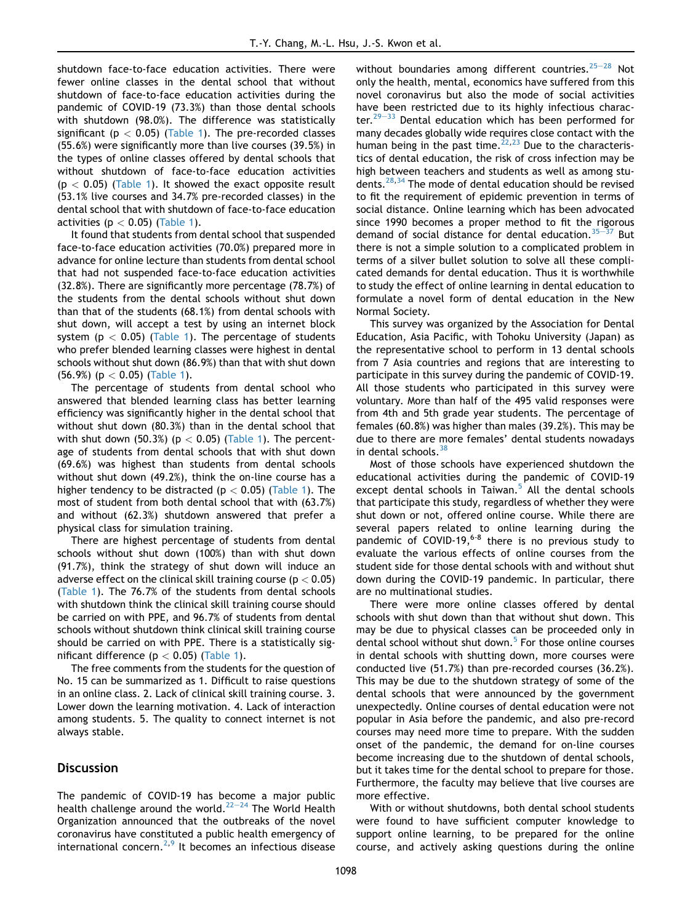shutdown face-to-face education activities. There were fewer online classes in the dental school that without shutdown of face-to-face education activities during the pandemic of COVID-19 (73.3%) than those dental schools with shutdown (98.0%). The difference was statistically significant ( $p < 0.05$ ) [\(Table 1\)](#page-2-0). The pre-recorded classes (55.6%) were significantly more than live courses (39.5%) in the types of online classes offered by dental schools that without shutdown of face-to-face education activities  $(p < 0.05)$  [\(Table 1\)](#page-2-0). It showed the exact opposite result (53.1% live courses and 34.7% pre-recorded classes) in the dental school that with shutdown of face-to-face education activities ( $p < 0.05$ ) [\(Table 1\)](#page-2-0).

It found that students from dental school that suspended face-to-face education activities (70.0%) prepared more in advance for online lecture than students from dental school that had not suspended face-to-face education activities (32.8%). There are significantly more percentage (78.7%) of the students from the dental schools without shut down than that of the students (68.1%) from dental schools with shut down, will accept a test by using an internet block system ( $p < 0.05$ ) ([Table 1\)](#page-2-0). The percentage of students who prefer blended learning classes were highest in dental schools without shut down (86.9%) than that with shut down (56.9%) (p < 0.05) [\(Table 1](#page-2-0)).

The percentage of students from dental school who answered that blended learning class has better learning efficiency was significantly higher in the dental school that without shut down (80.3%) than in the dental school that with shut down (50.3%) ( $p < 0.05$ ) ([Table 1\)](#page-2-0). The percentage of students from dental schools that with shut down (69.6%) was highest than students from dental schools without shut down (49.2%), think the on-line course has a higher tendency to be distracted ( $p < 0.05$ ) [\(Table 1\)](#page-2-0). The most of student from both dental school that with (63.7%) and without (62.3%) shutdown answered that prefer a physical class for simulation training.

There are highest percentage of students from dental schools without shut down (100%) than with shut down (91.7%), think the strategy of shut down will induce an adverse effect on the clinical skill training course ( $p < 0.05$ ) ([Table 1](#page-2-0)). The 76.7% of the students from dental schools with shutdown think the clinical skill training course should be carried on with PPE, and 96.7% of students from dental schools without shutdown think clinical skill training course should be carried on with PPE. There is a statistically significant difference ( $p < 0.05$ ) ([Table 1\)](#page-2-0).

The free comments from the students for the question of No. 15 can be summarized as 1. Difficult to raise questions in an online class. 2. Lack of clinical skill training course. 3. Lower down the learning motivation. 4. Lack of interaction among students. 5. The quality to connect internet is not always stable.

#### **Discussion**

The pandemic of COVID-19 has become a major public health challenge around the world.<sup>22-[24](#page-5-16)</sup> The World Health Organization announced that the outbreaks of the novel coronavirus have constituted a public health emergency of international concern. $2,9$  $2,9$  $2,9$  It becomes an infectious disease without boundaries among different countries.  $25-28$  $25-28$  $25-28$  Not only the health, mental, economics have suffered from this novel coronavirus but also the mode of social activities have been restricted due to its highly infectious character. $29-33$  $29-33$  $29-33$  Dental education which has been performed for many decades globally wide requires close contact with the human being in the past time.<sup>[22](#page-5-16)[,23](#page-5-19)</sup> Due to the characteristics of dental education, the risk of cross infection may be high between teachers and students as well as among students.[28,](#page-5-20)[34](#page-6-0) The mode of dental education should be revised to fit the requirement of epidemic prevention in terms of social distance. Online learning which has been advocated since 1990 becomes a proper method to fit the rigorous demand of social distance for dental education. $35-37$  $35-37$  $35-37$  But there is not a simple solution to a complicated problem in terms of a silver bullet solution to solve all these complicated demands for dental education. Thus it is worthwhile to study the effect of online learning in dental education to formulate a novel form of dental education in the New Normal Society.

This survey was organized by the Association for Dental Education, Asia Pacific, with Tohoku University (Japan) as the representative school to perform in 13 dental schools from 7 Asia countries and regions that are interesting to participate in this survey during the pandemic of COVID-19. All those students who participated in this survey were voluntary. More than half of the 495 valid responses were from 4th and 5th grade year students. The percentage of females (60.8%) was higher than males (39.2%). This may be due to there are more females' dental students nowadays in dental schools.  $38$ 

Most of those schools have experienced shutdown the educational activities during the pandemic of COVID-19 except dental schools in Taiwan. $5$  All the dental schools that participate this study, regardless of whether they were shut down or not, offered online course. While there are several papers related to online learning during the pandemic of COVID-19, $6 - 8$  there is no previous study to evaluate the various effects of online courses from the student side for those dental schools with and without shut down during the COVID-19 pandemic. In particular, there are no multinational studies.

There were more online classes offered by dental schools with shut down than that without shut down. This may be due to physical classes can be proceeded only in dental school without shut down.<sup>[5](#page-5-4)</sup> For those online courses in dental schools with shutting down, more courses were conducted live (51.7%) than pre-recorded courses (36.2%). This may be due to the shutdown strategy of some of the dental schools that were announced by the government unexpectedly. Online courses of dental education were not popular in Asia before the pandemic, and also pre-record courses may need more time to prepare. With the sudden onset of the pandemic, the demand for on-line courses become increasing due to the shutdown of dental schools, but it takes time for the dental school to prepare for those. Furthermore, the faculty may believe that live courses are more effective.

With or without shutdowns, both dental school students were found to have sufficient computer knowledge to support online learning, to be prepared for the online course, and actively asking questions during the online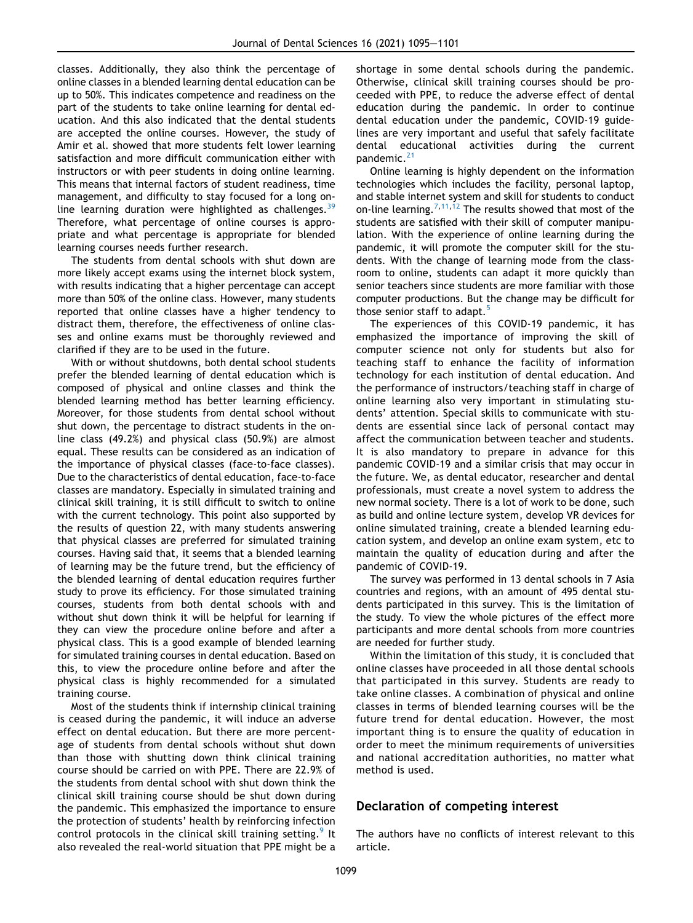classes. Additionally, they also think the percentage of online classes in a blended learning dental education can be up to 50%. This indicates competence and readiness on the part of the students to take online learning for dental education. And this also indicated that the dental students are accepted the online courses. However, the study of Amir et al. showed that more students felt lower learning satisfaction and more difficult communication either with instructors or with peer students in doing online learning. This means that internal factors of student readiness, time management, and difficulty to stay focused for a long online learning duration were highlighted as challenges.<sup>3</sup> Therefore, what percentage of online courses is appropriate and what percentage is appropriate for blended learning courses needs further research.

The students from dental schools with shut down are more likely accept exams using the internet block system, with results indicating that a higher percentage can accept more than 50% of the online class. However, many students reported that online classes have a higher tendency to distract them, therefore, the effectiveness of online classes and online exams must be thoroughly reviewed and clarified if they are to be used in the future.

With or without shutdowns, both dental school students prefer the blended learning of dental education which is composed of physical and online classes and think the blended learning method has better learning efficiency. Moreover, for those students from dental school without shut down, the percentage to distract students in the online class (49.2%) and physical class (50.9%) are almost equal. These results can be considered as an indication of the importance of physical classes (face-to-face classes). Due to the characteristics of dental education, face-to-face classes are mandatory. Especially in simulated training and clinical skill training, it is still difficult to switch to online with the current technology. This point also supported by the results of question 22, with many students answering that physical classes are preferred for simulated training courses. Having said that, it seems that a blended learning of learning may be the future trend, but the efficiency of the blended learning of dental education requires further study to prove its efficiency. For those simulated training courses, students from both dental schools with and without shut down think it will be helpful for learning if they can view the procedure online before and after a physical class. This is a good example of blended learning for simulated training courses in dental education. Based on this, to view the procedure online before and after the physical class is highly recommended for a simulated training course.

Most of the students think if internship clinical training is ceased during the pandemic, it will induce an adverse effect on dental education. But there are more percentage of students from dental schools without shut down than those with shutting down think clinical training course should be carried on with PPE. There are 22.9% of the students from dental school with shut down think the clinical skill training course should be shut down during the pandemic. This emphasized the importance to ensure the protection of students' health by reinforcing infection control protocols in the clinical skill training setting.<sup>[9](#page-5-8)</sup> It also revealed the real-world situation that PPE might be a

shortage in some dental schools during the pandemic. Otherwise, clinical skill training courses should be proceeded with PPE, to reduce the adverse effect of dental education during the pandemic. In order to continue dental education under the pandemic, COVID-19 guidelines are very important and useful that safely facilitate dental educational activities during the current pandemic.<sup>[21](#page-5-21)</sup>

Online learning is highly dependent on the information technologies which includes the facility, personal laptop, and stable internet system and skill for students to conduct on-line learning.<sup>[7,](#page-5-6)[11](#page-5-10),[12](#page-5-22)</sup> The results showed that most of the students are satisfied with their skill of computer manipulation. With the experience of online learning during the pandemic, it will promote the computer skill for the students. With the change of learning mode from the classroom to online, students can adapt it more quickly than senior teachers since students are more familiar with those computer productions. But the change may be difficult for those senior staff to adapt.<sup>[5](#page-5-4)</sup>

The experiences of this COVID-19 pandemic, it has emphasized the importance of improving the skill of computer science not only for students but also for teaching staff to enhance the facility of information technology for each institution of dental education. And the performance of instructors/teaching staff in charge of online learning also very important in stimulating students' attention. Special skills to communicate with students are essential since lack of personal contact may affect the communication between teacher and students. It is also mandatory to prepare in advance for this pandemic COVID-19 and a similar crisis that may occur in the future. We, as dental educator, researcher and dental professionals, must create a novel system to address the new normal society. There is a lot of work to be done, such as build and online lecture system, develop VR devices for online simulated training, create a blended learning education system, and develop an online exam system, etc to maintain the quality of education during and after the pandemic of COVID-19.

The survey was performed in 13 dental schools in 7 Asia countries and regions, with an amount of 495 dental students participated in this survey. This is the limitation of the study. To view the whole pictures of the effect more participants and more dental schools from more countries are needed for further study.

Within the limitation of this study, it is concluded that online classes have proceeded in all those dental schools that participated in this survey. Students are ready to take online classes. A combination of physical and online classes in terms of blended learning courses will be the future trend for dental education. However, the most important thing is to ensure the quality of education in order to meet the minimum requirements of universities and national accreditation authorities, no matter what method is used.

# Declaration of competing interest

The authors have no conflicts of interest relevant to this article.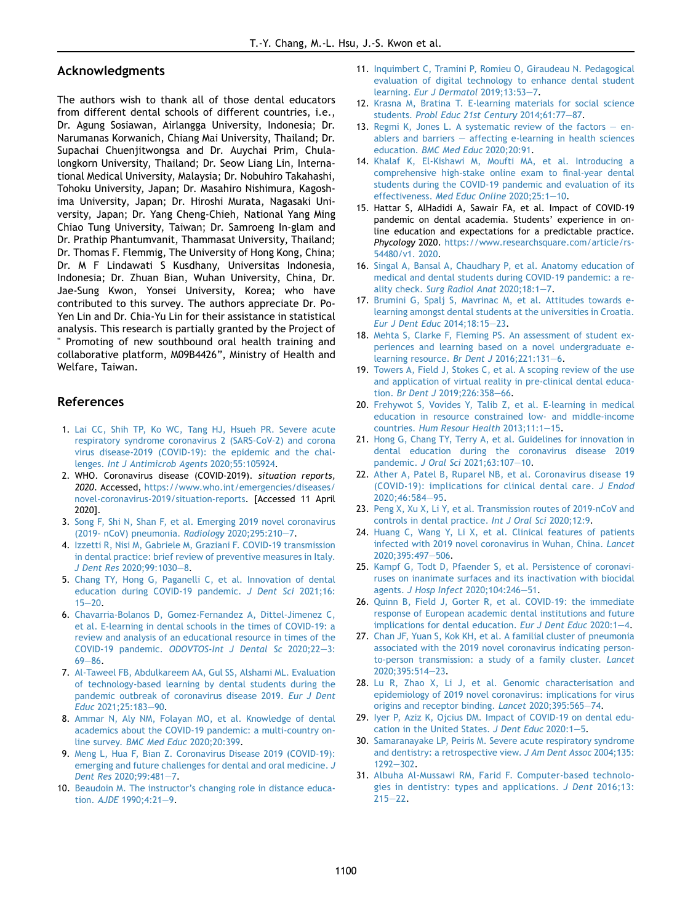#### Acknowledgments

The authors wish to thank all of those dental educators from different dental schools of different countries, i.e., Dr. Agung Sosiawan, Airlangga University, Indonesia; Dr. Narumanas Korwanich, Chiang Mai University, Thailand; Dr. Supachai Chuenjitwongsa and Dr. Auychai Prim, Chulalongkorn University, Thailand; Dr. Seow Liang Lin, International Medical University, Malaysia; Dr. Nobuhiro Takahashi, Tohoku University, Japan; Dr. Masahiro Nishimura, Kagoshima University, Japan; Dr. Hiroshi Murata, Nagasaki University, Japan; Dr. Yang Cheng-Chieh, National Yang Ming Chiao Tung University, Taiwan; Dr. Samroeng In-glam and Dr. Prathip Phantumvanit, Thammasat University, Thailand; Dr. Thomas F. Flemmig, The University of Hong Kong, China; Dr. M F Lindawati S Kusdhany, Universitas Indonesia, Indonesia; Dr. Zhuan Bian, Wuhan University, China, Dr. Jae-Sung Kwon, Yonsei University, Korea; who have contributed to this survey. The authors appreciate Dr. Po-Yen Lin and Dr. Chia-Yu Lin for their assistance in statistical analysis. This research is partially granted by the Project of " Promoting of new southbound oral health training and collaborative platform, M09B4426", Ministry of Health and Welfare, Taiwan.

# References

- <span id="page-5-0"></span>1. [Lai CC, Shih TP, Ko WC, Tang HJ, Hsueh PR. Severe acute](http://refhub.elsevier.com/S1991-7902(21)00117-3/sref1) [respiratory syndrome coronavirus 2 \(SARS-CoV-2\) and corona](http://refhub.elsevier.com/S1991-7902(21)00117-3/sref1) [virus disease-2019 \(COVID-19\): the epidemic and the chal](http://refhub.elsevier.com/S1991-7902(21)00117-3/sref1)lenges. [Int J Antimicrob Agents](http://refhub.elsevier.com/S1991-7902(21)00117-3/sref1) 2020;55:105924.
- <span id="page-5-1"></span>2. WHO. Coronavirus disease (COVID-2019). situation reports, 2020. Accessed, [https://www.who.int/emergencies/diseases/](https://www.who.int/emergencies/diseases/novel-coronavirus-2019/situation-reports) [novel-coronavirus-2019/situation-reports.](https://www.who.int/emergencies/diseases/novel-coronavirus-2019/situation-reports) [Accessed 11 April 2020].
- <span id="page-5-2"></span>3. [Song F, Shi N, Shan F, et al. Emerging 2019 novel coronavirus](http://refhub.elsevier.com/S1991-7902(21)00117-3/sref3) [\(2019- nCoV\) pneumonia.](http://refhub.elsevier.com/S1991-7902(21)00117-3/sref3) Radiology 2020;295:210-[7.](http://refhub.elsevier.com/S1991-7902(21)00117-3/sref3)
- <span id="page-5-3"></span>4. [Izzetti R, Nisi M, Gabriele M, Graziani F. COVID-19 transmission](http://refhub.elsevier.com/S1991-7902(21)00117-3/sref4) [in dental practice: brief review of preventive measures in Italy.](http://refhub.elsevier.com/S1991-7902(21)00117-3/sref4) J Dent Res [2020;99:1030](http://refhub.elsevier.com/S1991-7902(21)00117-3/sref4)-[8](http://refhub.elsevier.com/S1991-7902(21)00117-3/sref4).
- <span id="page-5-4"></span>5. [Chang TY, Hong G, Paganelli C, et al. Innovation of dental](http://refhub.elsevier.com/S1991-7902(21)00117-3/sref5) [education during COVID-19 pandemic.](http://refhub.elsevier.com/S1991-7902(21)00117-3/sref5) J Dent Sci 2021;16:  $15 - 20.$  $15 - 20.$  $15 - 20.$
- <span id="page-5-5"></span>6. [Chavarria-Bolanos D, Gomez-Fernandez A, Dittel-Jimenez C,](http://refhub.elsevier.com/S1991-7902(21)00117-3/sref6) [et al. E-learning in dental schools in the times of COVID-19: a](http://refhub.elsevier.com/S1991-7902(21)00117-3/sref6) [review and analysis of an educational resource in times of the](http://refhub.elsevier.com/S1991-7902(21)00117-3/sref6) COVID-19 pandemic. [ODOVTOS-Int J Dental Sc](http://refhub.elsevier.com/S1991-7902(21)00117-3/sref6) 2020;22-[3:](http://refhub.elsevier.com/S1991-7902(21)00117-3/sref6)  $69 - 86.$  $69 - 86.$  $69 - 86.$
- <span id="page-5-6"></span>7. [Al-Taweel FB, Abdulkareem AA, Gul SS, Alshami ML. Evaluation](http://refhub.elsevier.com/S1991-7902(21)00117-3/sref7) [of technology-based learning by dental students during the](http://refhub.elsevier.com/S1991-7902(21)00117-3/sref7) [pandemic outbreak of coronavirus disease 2019.](http://refhub.elsevier.com/S1991-7902(21)00117-3/sref7) Eur J Dent Educ [2021;25:183](http://refhub.elsevier.com/S1991-7902(21)00117-3/sref7)-[90](http://refhub.elsevier.com/S1991-7902(21)00117-3/sref7).
- <span id="page-5-7"></span>8. [Ammar N, Aly NM, Folayan MO, et al. Knowledge of dental](http://refhub.elsevier.com/S1991-7902(21)00117-3/sref8) [academics about the COVID-19 pandemic: a multi-country on](http://refhub.elsevier.com/S1991-7902(21)00117-3/sref8)line survey. [BMC Med Educ](http://refhub.elsevier.com/S1991-7902(21)00117-3/sref8) 2020;20:399.
- <span id="page-5-8"></span>9. [Meng L, Hua F, Bian Z. Coronavirus Disease 2019 \(COVID-19\):](http://refhub.elsevier.com/S1991-7902(21)00117-3/sref9) [emerging and future challenges for dental and oral medicine.](http://refhub.elsevier.com/S1991-7902(21)00117-3/sref9) J Dent Res [2020;99:481](http://refhub.elsevier.com/S1991-7902(21)00117-3/sref9)-[7.](http://refhub.elsevier.com/S1991-7902(21)00117-3/sref9)
- <span id="page-5-9"></span>10. [Beaudoin M. The instructor's changing role in distance educa-](http://refhub.elsevier.com/S1991-7902(21)00117-3/sref10)tion. AJDE [1990;4:21](http://refhub.elsevier.com/S1991-7902(21)00117-3/sref10)-[9](http://refhub.elsevier.com/S1991-7902(21)00117-3/sref10).
- <span id="page-5-10"></span>11. [Inquimbert C, Tramini P, Romieu O, Giraudeau N. Pedagogical](http://refhub.elsevier.com/S1991-7902(21)00117-3/sref11) [evaluation of digital technology to enhance dental student](http://refhub.elsevier.com/S1991-7902(21)00117-3/sref11) learning. [Eur J Dermatol](http://refhub.elsevier.com/S1991-7902(21)00117-3/sref11) 2019;13:53-[7](http://refhub.elsevier.com/S1991-7902(21)00117-3/sref11).
- <span id="page-5-22"></span>12. [Krasna M, Bratina T. E-learning materials for social science](http://refhub.elsevier.com/S1991-7902(21)00117-3/sref12) students. [Probl Educ 21st Century](http://refhub.elsevier.com/S1991-7902(21)00117-3/sref12) 2014;61:77-[87](http://refhub.elsevier.com/S1991-7902(21)00117-3/sref12).
- 13. [Regmi K, Jones L. A systematic review of the factors](http://refhub.elsevier.com/S1991-7902(21)00117-3/sref13)  $-$  [en](http://refhub.elsevier.com/S1991-7902(21)00117-3/sref13)[ablers and barriers](http://refhub.elsevier.com/S1991-7902(21)00117-3/sref13)  $-$  [affecting e-learning in health sciences](http://refhub.elsevier.com/S1991-7902(21)00117-3/sref13) education. [BMC Med Educ](http://refhub.elsevier.com/S1991-7902(21)00117-3/sref13) 2020;20:91.
- <span id="page-5-11"></span>14. [Khalaf K, El-Kishawi M, Moufti MA, et al. Introducing a](http://refhub.elsevier.com/S1991-7902(21)00117-3/sref14) [comprehensive high-stake online exam to final-year dental](http://refhub.elsevier.com/S1991-7902(21)00117-3/sref14) [students during the COVID-19 pandemic and evaluation of its](http://refhub.elsevier.com/S1991-7902(21)00117-3/sref14) effectiveness. [Med Educ Online](http://refhub.elsevier.com/S1991-7902(21)00117-3/sref14) 2020;25:1-[10.](http://refhub.elsevier.com/S1991-7902(21)00117-3/sref14)
- <span id="page-5-12"></span>15. Hattar S, AlHadidi A, Sawair FA, et al. Impact of COVID-19 pandemic on dental academia. Students' experience in online education and expectations for a predictable practice. Phycology 2020. [https://www.researchsquare.com/article/rs-](https://www.researchsquare.com/article/rs-54480/v1.%202020)[54480/v1. 2020](https://www.researchsquare.com/article/rs-54480/v1.%202020).
- <span id="page-5-13"></span>16. [Singal A, Bansal A, Chaudhary P, et al. Anatomy education of](http://refhub.elsevier.com/S1991-7902(21)00117-3/sref16) [medical and dental students during COVID-19 pandemic: a re-](http://refhub.elsevier.com/S1991-7902(21)00117-3/sref16)ality check. [Surg Radiol Anat](http://refhub.elsevier.com/S1991-7902(21)00117-3/sref16)  $2020;18:1-7$  $2020;18:1-7$ .
- <span id="page-5-14"></span>17. [Brumini G, Spalj S, Mavrinac M, et al. Attitudes towards e](http://refhub.elsevier.com/S1991-7902(21)00117-3/sref17)[learning amongst dental students at the universities in Croatia.](http://refhub.elsevier.com/S1991-7902(21)00117-3/sref17) [Eur J Dent Educ](http://refhub.elsevier.com/S1991-7902(21)00117-3/sref17) 2014;18:15-[23.](http://refhub.elsevier.com/S1991-7902(21)00117-3/sref17)
- <span id="page-5-15"></span>18. [Mehta S, Clarke F, Fleming PS. An assessment of student ex](http://refhub.elsevier.com/S1991-7902(21)00117-3/sref18)[periences and learning based on a novel undergraduate e](http://refhub.elsevier.com/S1991-7902(21)00117-3/sref18)[learning resource.](http://refhub.elsevier.com/S1991-7902(21)00117-3/sref18) Br Dent J 201[6](http://refhub.elsevier.com/S1991-7902(21)00117-3/sref18); 221:131-6.
- 19. [Towers A, Field J, Stokes C, et al. A scoping review of the use](http://refhub.elsevier.com/S1991-7902(21)00117-3/sref19) [and application of virtual reality in pre-clinical dental educa-](http://refhub.elsevier.com/S1991-7902(21)00117-3/sref19)tion. Br Dent J [2019;226:358](http://refhub.elsevier.com/S1991-7902(21)00117-3/sref19)-[66](http://refhub.elsevier.com/S1991-7902(21)00117-3/sref19).
- 20. [Frehywot S, Vovides Y, Talib Z, et al. E-learning in medical](http://refhub.elsevier.com/S1991-7902(21)00117-3/sref20) [education in resource constrained low- and middle-income](http://refhub.elsevier.com/S1991-7902(21)00117-3/sref20) countries. [Hum Resour Health](http://refhub.elsevier.com/S1991-7902(21)00117-3/sref20) 2013:11:1-[15.](http://refhub.elsevier.com/S1991-7902(21)00117-3/sref20)
- <span id="page-5-21"></span>21. [Hong G, Chang TY, Terry A, et al. Guidelines for innovation in](http://refhub.elsevier.com/S1991-7902(21)00117-3/sref21) [dental education during the coronavirus disease 2019](http://refhub.elsevier.com/S1991-7902(21)00117-3/sref21) pandemic. J Oral Sci [2021;63:107](http://refhub.elsevier.com/S1991-7902(21)00117-3/sref21)-[10](http://refhub.elsevier.com/S1991-7902(21)00117-3/sref21).
- <span id="page-5-16"></span>22. [Ather A, Patel B, Ruparel NB, et al. Coronavirus disease 19](http://refhub.elsevier.com/S1991-7902(21)00117-3/sref22) [\(COVID-19\): implications for clinical dental care.](http://refhub.elsevier.com/S1991-7902(21)00117-3/sref22) J Endod [2020;46:584](http://refhub.elsevier.com/S1991-7902(21)00117-3/sref22)-[95](http://refhub.elsevier.com/S1991-7902(21)00117-3/sref22).
- <span id="page-5-19"></span>23. [Peng X, Xu X, Li Y, et al. Transmission routes of 2019-nCoV and](http://refhub.elsevier.com/S1991-7902(21)00117-3/sref23) [controls in dental practice.](http://refhub.elsevier.com/S1991-7902(21)00117-3/sref23) Int J Oral Sci 2020;12:9.
- 24. [Huang C, Wang Y, Li X, et al. Clinical features of patients](http://refhub.elsevier.com/S1991-7902(21)00117-3/sref24) [infected with 2019 novel coronavirus in Wuhan, China.](http://refhub.elsevier.com/S1991-7902(21)00117-3/sref24) Lancet 2020:395:497-[506](http://refhub.elsevier.com/S1991-7902(21)00117-3/sref24).
- <span id="page-5-17"></span>25. [Kampf G, Todt D, Pfaender S, et al. Persistence of coronavi](http://refhub.elsevier.com/S1991-7902(21)00117-3/sref25)[ruses on inanimate surfaces and its inactivation with biocidal](http://refhub.elsevier.com/S1991-7902(21)00117-3/sref25) agents. [J Hosp Infect](http://refhub.elsevier.com/S1991-7902(21)00117-3/sref25) 2020;104:246-[51.](http://refhub.elsevier.com/S1991-7902(21)00117-3/sref25)
- 26. [Quinn B, Field J, Gorter R, et al. COVID-19: the immediate](http://refhub.elsevier.com/S1991-7902(21)00117-3/sref26) [response of European academic dental institutions and future](http://refhub.elsevier.com/S1991-7902(21)00117-3/sref26) [implications for dental education.](http://refhub.elsevier.com/S1991-7902(21)00117-3/sref26) Eur J Dent Educ 2020:1-[4](http://refhub.elsevier.com/S1991-7902(21)00117-3/sref26).
- 27. [Chan JF, Yuan S, Kok KH, et al. A familial cluster of pneumonia](http://refhub.elsevier.com/S1991-7902(21)00117-3/sref27) [associated with the 2019 novel coronavirus indicating person](http://refhub.elsevier.com/S1991-7902(21)00117-3/sref27)[to-person transmission: a study of a family cluster.](http://refhub.elsevier.com/S1991-7902(21)00117-3/sref27) Lancet [2020;395:514](http://refhub.elsevier.com/S1991-7902(21)00117-3/sref27)-[23.](http://refhub.elsevier.com/S1991-7902(21)00117-3/sref27)
- <span id="page-5-20"></span>28. [Lu R, Zhao X, Li J, et al. Genomic characterisation and](http://refhub.elsevier.com/S1991-7902(21)00117-3/sref28) [epidemiology of 2019 novel coronavirus: implications for virus](http://refhub.elsevier.com/S1991-7902(21)00117-3/sref28) [origins and receptor binding.](http://refhub.elsevier.com/S1991-7902(21)00117-3/sref28) Lancet 2020;395:565-[74](http://refhub.elsevier.com/S1991-7902(21)00117-3/sref28).
- <span id="page-5-18"></span>29. [Iyer P, Aziz K, Ojcius DM. Impact of COVID-19 on dental edu](http://refhub.elsevier.com/S1991-7902(21)00117-3/sref29)[cation in the United States.](http://refhub.elsevier.com/S1991-7902(21)00117-3/sref29) J Dent Educ  $2020:1-5$  $2020:1-5$ .
- 30. [Samaranayake LP, Peiris M. Severe acute respiratory syndrome](http://refhub.elsevier.com/S1991-7902(21)00117-3/sref30) [and dentistry: a retrospective view.](http://refhub.elsevier.com/S1991-7902(21)00117-3/sref30) J Am Dent Assoc 2004;135:  $1292 - 302$  $1292 - 302$  $1292 - 302$
- 31. [Albuha Al-Mussawi RM, Farid F.](http://refhub.elsevier.com/S1991-7902(21)00117-3/sref31) Computer-based technolo[gies in dentistry: types and applications.](http://refhub.elsevier.com/S1991-7902(21)00117-3/sref31) J Dent 2016;13:  $215 - 22.$  $215 - 22.$  $215 - 22.$  $215 - 22.$